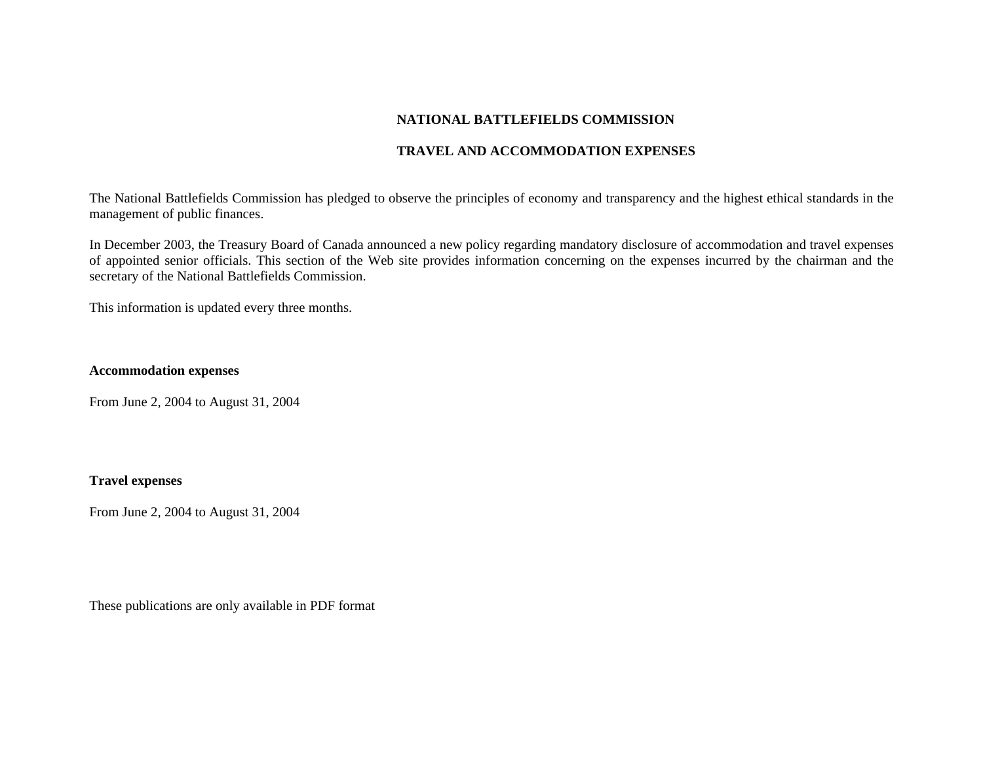## **NATIONAL BATTLEFIELDS COMMISSION**

## **TRAVEL AND ACCOMMODATION EXPENSES**

The National Battlefields Commission has pledged to observe the principles of economy and transparency and the highest ethical standards in the management of public finances.

In December 2003, the Treasury Board of Canada announced a new policy regarding mandatory disclosure of accommodation and travel expenses of appointed senior officials. This section of the Web site provides information concerning on the expenses incurred by the chairman and the secretary of the National Battlefields Commission.

This information is updated every three months.

#### **Accommodation expenses**

From June 2, 2004 to August 31, 2004

#### **Travel expenses**

From June 2, 2004 to August 31, 2004

These publications are only available in PDF format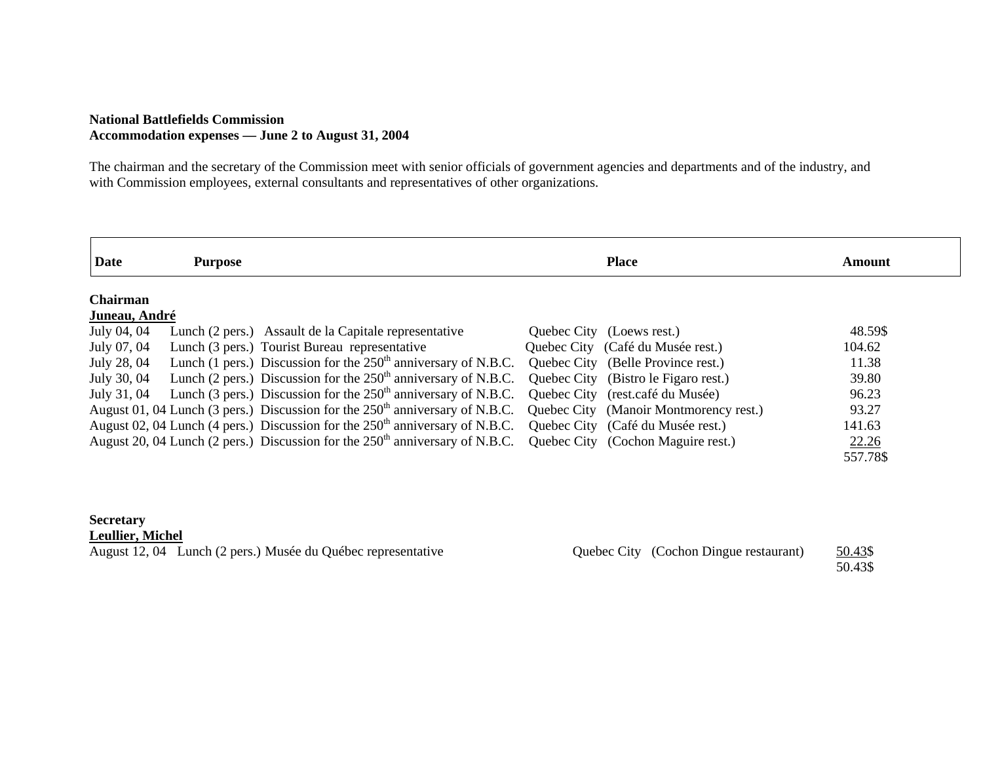#### **National Battlefields Commission Accommodation expenses — June 2 to August 31, 2004**

The chairman and the secretary of the Commission meet with senior officials of government agencies and departments and of the industry, and with Commission employees, external consultants and representatives of other organizations.

| <b>Date</b>     | <b>Purpose</b> |                                                                                                                                 | <b>Place</b>                         | Amount   |
|-----------------|----------------|---------------------------------------------------------------------------------------------------------------------------------|--------------------------------------|----------|
| <b>Chairman</b> |                |                                                                                                                                 |                                      |          |
| Juneau, André   |                |                                                                                                                                 |                                      |          |
| July 04, 04     |                | Lunch (2 pers.) Assault de la Capitale representative                                                                           | Quebec City (Loews rest.)            | 48.59\$  |
| July 07, 04     |                | Lunch (3 pers.) Tourist Bureau representative                                                                                   | Quebec City (Café du Musée rest.)    | 104.62   |
| July 28, 04     |                | Lunch (1 pers.) Discussion for the $250th$ anniversary of N.B.C.                                                                | Quebec City (Belle Province rest.)   | 11.38    |
| July 30, 04     |                | Lunch (2 pers.) Discussion for the $250th$ anniversary of N.B.C.                                                                | Quebec City (Bistro le Figaro rest.) | 39.80    |
| July 31, 04     |                | Lunch (3 pers.) Discussion for the $250th$ anniversary of N.B.C. Quebec City (rest.café du Musée)                               |                                      | 96.23    |
|                 |                | August 01, 04 Lunch (3 pers.) Discussion for the $250^{\text{th}}$ anniversary of N.B.C. Quebec City (Manoir Montmorency rest.) |                                      | 93.27    |
|                 |                | August 02, 04 Lunch (4 pers.) Discussion for the 250 <sup>th</sup> anniversary of N.B.C. Quebec City (Café du Musée rest.)      |                                      | 141.63   |
|                 |                | August 20, 04 Lunch (2 pers.) Discussion for the $250th$ anniversary of N.B.C. Quebec City (Cochon Maguire rest.)               |                                      | 22.26    |
|                 |                |                                                                                                                                 |                                      | 557.78\$ |

# **Secretary**

| <b>Leullier, Michel</b>                                      |                                        |         |
|--------------------------------------------------------------|----------------------------------------|---------|
| August 12, 04 Lunch (2 pers.) Musée du Québec representative | Quebec City (Cochon Dingue restaurant) | 50.43\$ |
|                                                              |                                        | 50.43\$ |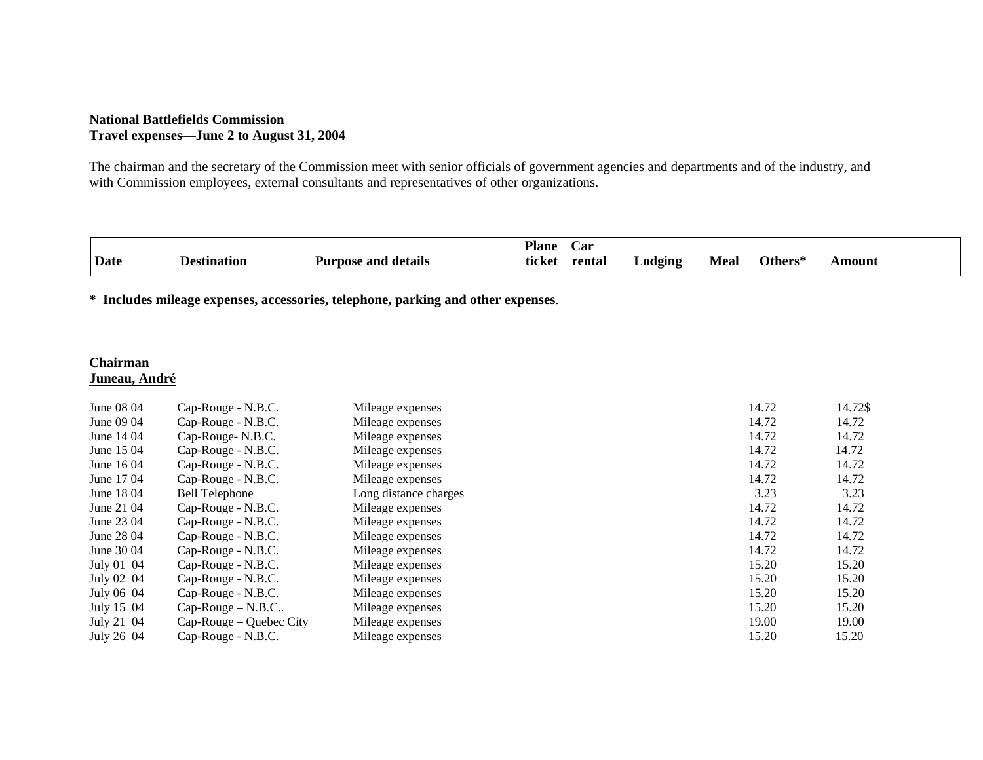# **National Battlefields Commission Travel expenses—June 2 to August 31, 2004**

The chairman and the secretary of the Commission meet with senior officials of government agencies and departments and of the industry, and with Commission employees, external consultants and representatives of other organizations.

|             |             |                            | <b>Plane</b> | Car    |         |             |                |        |
|-------------|-------------|----------------------------|--------------|--------|---------|-------------|----------------|--------|
| <b>Date</b> | Destination | <b>Purpose and details</b> | ticket       | rental | Lodging | <b>Meal</b> | <b>Others*</b> | Amount |

**\* Includes mileage expenses, accessories, telephone, parking and other expenses**.

# **Chairman Juneau, André**

| June 08 04 | Cap-Rouge - N.B.C.      | Mileage expenses      | 14.72 | 14.72\$ |
|------------|-------------------------|-----------------------|-------|---------|
| June 09 04 | Cap-Rouge - N.B.C.      | Mileage expenses      | 14.72 | 14.72   |
| June 14 04 | Cap-Rouge-N.B.C.        | Mileage expenses      | 14.72 | 14.72   |
| June 15 04 | Cap-Rouge - N.B.C.      | Mileage expenses      | 14.72 | 14.72   |
| June 16 04 | Cap-Rouge - N.B.C.      | Mileage expenses      | 14.72 | 14.72   |
| June 17 04 | Cap-Rouge - N.B.C.      | Mileage expenses      | 14.72 | 14.72   |
| June 18 04 | <b>Bell Telephone</b>   | Long distance charges | 3.23  | 3.23    |
| June 21 04 | Cap-Rouge - N.B.C.      | Mileage expenses      | 14.72 | 14.72   |
| June 23 04 | Cap-Rouge - N.B.C.      | Mileage expenses      | 14.72 | 14.72   |
| June 28 04 | Cap-Rouge - N.B.C.      | Mileage expenses      | 14.72 | 14.72   |
| June 30 04 | Cap-Rouge - N.B.C.      | Mileage expenses      | 14.72 | 14.72   |
| July 01 04 | Cap-Rouge - N.B.C.      | Mileage expenses      | 15.20 | 15.20   |
| July 02 04 | Cap-Rouge - N.B.C.      | Mileage expenses      | 15.20 | 15.20   |
| July 06 04 | Cap-Rouge - N.B.C.      | Mileage expenses      | 15.20 | 15.20   |
| July 15 04 | $Cap-Rouge-N.B.C$       | Mileage expenses      | 15.20 | 15.20   |
| July 21 04 | Cap-Rouge – Quebec City | Mileage expenses      | 19.00 | 19.00   |
| July 26 04 | Cap-Rouge - N.B.C.      | Mileage expenses      | 15.20 | 15.20   |